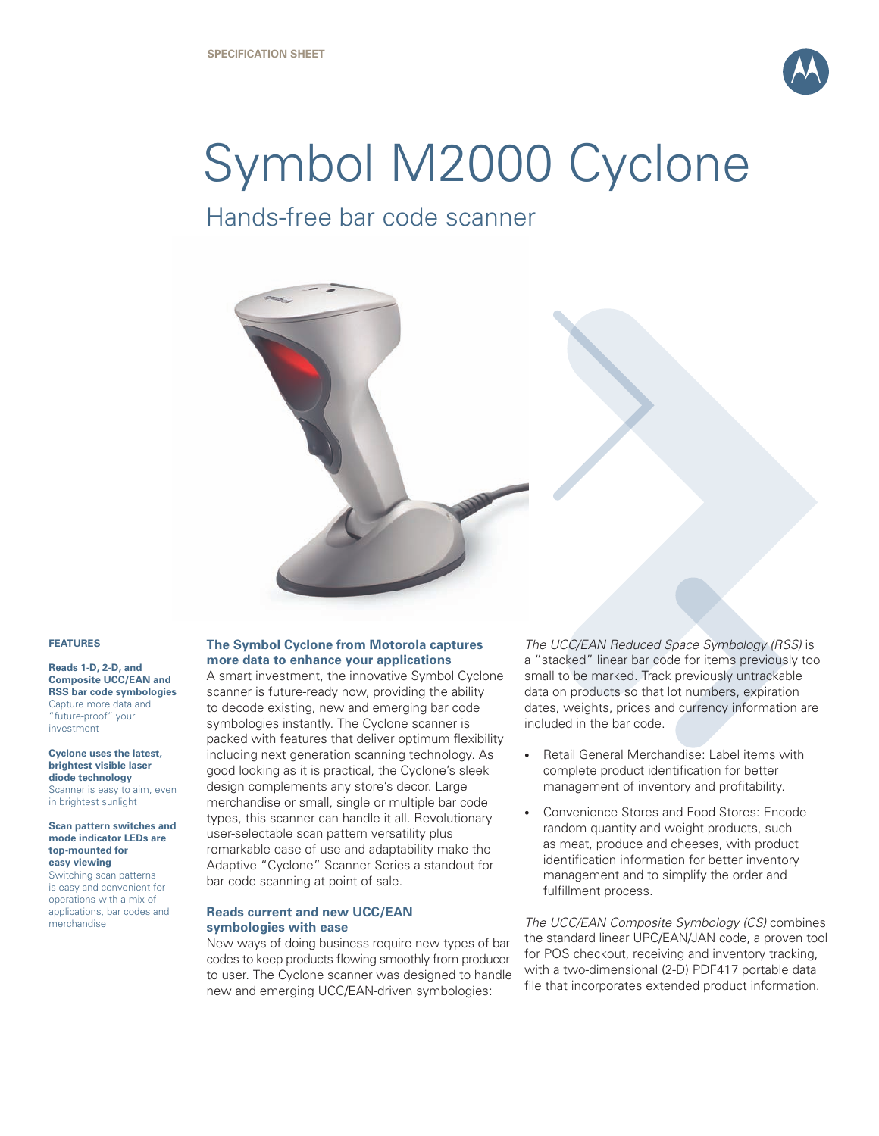

# Symbol M2000 Cyclone

## Hands-free bar code scanner



#### **FEATURES**

**Reads 1-D, 2-D, and Composite UCC/EAN and RSS bar code symbologies**  Capture more data and "future-proof" your investment

**Cyclone uses the latest, brightest visible laser diode technology** Scanner is easy to aim, even in brightest sunlight

**Scan pattern switches and mode indicator LEDs are top-mounted for easy viewing** 

Switching scan patterns is easy and convenient for operations with a mix of applications, bar codes and merchandise

### **The Symbol Cyclone from Motorola captures more data to enhance your applications**

A smart investment, the innovative Symbol Cyclone scanner is future-ready now, providing the ability to decode existing, new and emerging bar code symbologies instantly. The Cyclone scanner is packed with features that deliver optimum flexibility including next generation scanning technology. As good looking as it is practical, the Cyclone's sleek design complements any store's decor. Large merchandise or small, single or multiple bar code types, this scanner can handle it all. Revolutionary user-selectable scan pattern versatility plus remarkable ease of use and adaptability make the Adaptive "Cyclone" Scanner Series a standout for bar code scanning at point of sale.

#### **Reads current and new UCC/EAN symbologies with ease**

New ways of doing business require new types of bar codes to keep products flowing smoothly from producer to user. The Cyclone scanner was designed to handle new and emerging UCC/EAN-driven symbologies:

*The UCC/EAN Reduced Space Symbology (RSS)* is a "stacked" linear bar code for items previously too small to be marked. Track previously untrackable data on products so that lot numbers, expiration dates, weights, prices and currency information are included in the bar code.

- Retail General Merchandise: Label items with complete product identification for better management of inventory and profitability. •
- Convenience Stores and Food Stores: Encode random quantity and weight products, such as meat, produce and cheeses, with product identification information for better inventory management and to simplify the order and fulfillment process. •

*The UCC/EAN Composite Symbology (CS)* combines the standard linear UPC/EAN/JAN code, a proven tool for POS checkout, receiving and inventory tracking, with a two-dimensional (2-D) PDF417 portable data file that incorporates extended product information.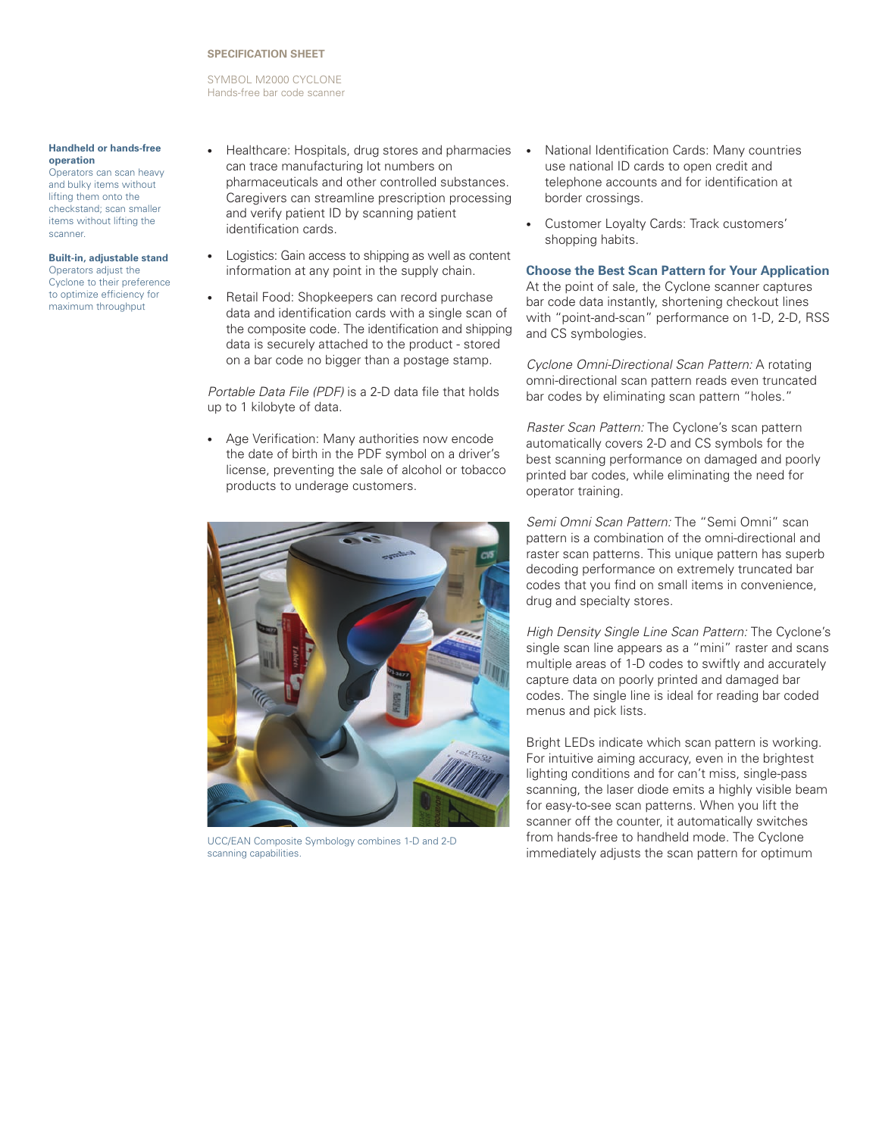#### **SPECIFICATION Sheet**

Symbol M2000 Cyclone Hands-free bar code scanner

#### **Handheld or hands-free operation**

Operators can scan heavy and bulky items without lifting them onto the checkstand; scan smaller items without lifting the scanner.

#### **Built-in, adjustable stand** Operators adjust the Cyclone to their preference to optimize efficiency for maximum throughput

- Healthcare: Hospitals, drug stores and pharmacies can trace manufacturing lot numbers on pharmaceuticals and other controlled substances. Caregivers can streamline prescription processing and verify patient ID by scanning patient identification cards. •
- Logistics: Gain access to shipping as well as content information at any point in the supply chain. •
- Retail Food: Shopkeepers can record purchase data and identification cards with a single scan of the composite code. The identification and shipping data is securely attached to the product - stored on a bar code no bigger than a postage stamp. •

*Portable Data File (PDF)* is a 2-D data file that holds up to 1 kilobyte of data.

• Age Verification: Many authorities now encode the date of birth in the PDF symbol on a driver's license, preventing the sale of alcohol or tobacco products to underage customers.



UCC/EAN Composite Symbology combines 1-D and 2-D scanning capabilities.

- National Identification Cards: Many countries use national ID cards to open credit and telephone accounts and for identification at border crossings. •
- Customer Loyalty Cards: Track customers' shopping habits. •

**Choose the Best Scan Pattern for Your Application** At the point of sale, the Cyclone scanner captures bar code data instantly, shortening checkout lines with "point-and-scan" performance on 1-D, 2-D, RSS and CS symbologies.

*Cyclone Omni-Directional Scan Pattern:* A rotating omni-directional scan pattern reads even truncated bar codes by eliminating scan pattern "holes."

*Raster Scan Pattern:* The Cyclone's scan pattern automatically covers 2-D and CS symbols for the best scanning performance on damaged and poorly printed bar codes, while eliminating the need for operator training.

*Semi Omni Scan Pattern:* The "Semi Omni" scan pattern is a combination of the omni-directional and raster scan patterns. This unique pattern has superb decoding performance on extremely truncated bar codes that you find on small items in convenience, drug and specialty stores.

*High Density Single Line Scan Pattern:* The Cyclone's single scan line appears as a "mini" raster and scans multiple areas of 1-D codes to swiftly and accurately capture data on poorly printed and damaged bar codes. The single line is ideal for reading bar coded menus and pick lists.

Bright LEDs indicate which scan pattern is working. For intuitive aiming accuracy, even in the brightest lighting conditions and for can't miss, single-pass scanning, the laser diode emits a highly visible beam for easy-to-see scan patterns. When you lift the scanner off the counter, it automatically switches from hands-free to handheld mode. The Cyclone immediately adjusts the scan pattern for optimum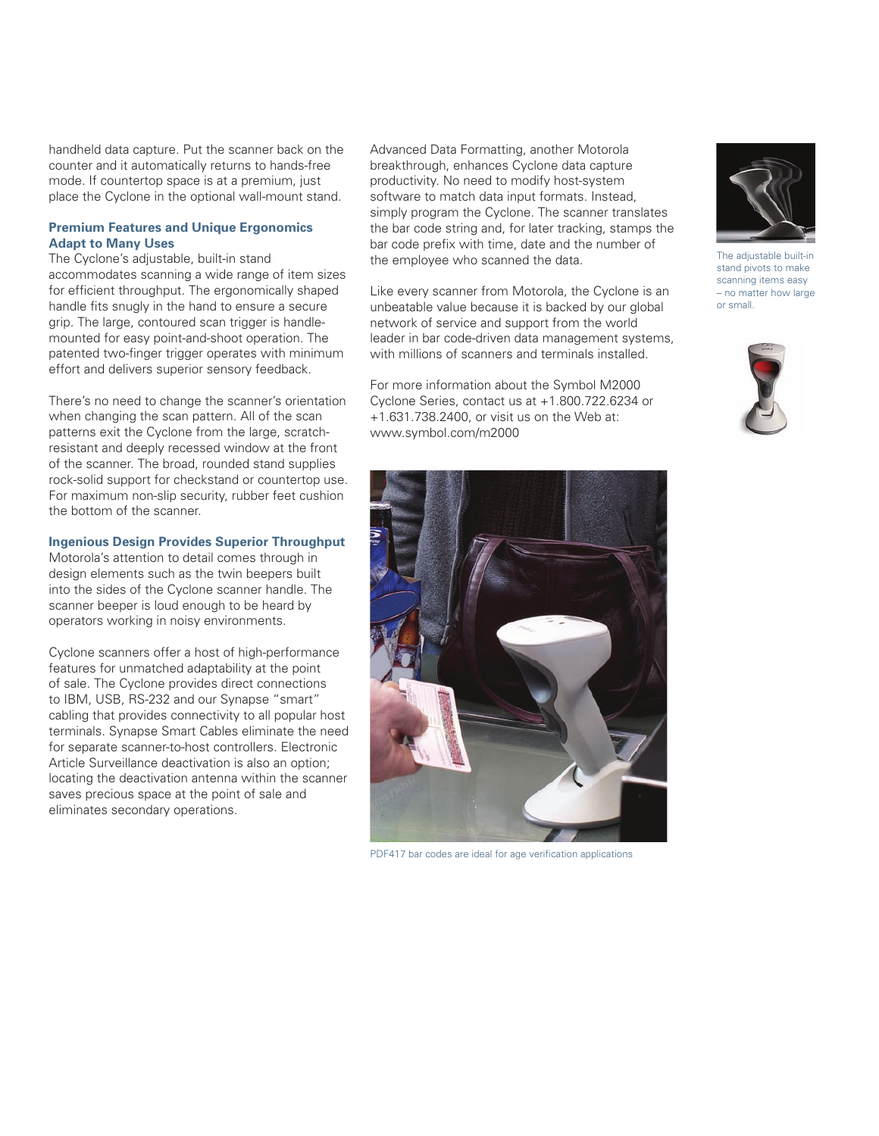handheld data capture. Put the scanner back on the counter and it automatically returns to hands-free mode. If countertop space is at a premium, just place the Cyclone in the optional wall-mount stand.

#### **Premium Features and Unique Ergonomics Adapt to Many Uses**

The Cyclone's adjustable, built-in stand accommodates scanning a wide range of item sizes for efficient throughput. The ergonomically shaped handle fits snugly in the hand to ensure a secure grip. The large, contoured scan trigger is handlemounted for easy point-and-shoot operation. The patented two-finger trigger operates with minimum effort and delivers superior sensory feedback.

There's no need to change the scanner's orientation when changing the scan pattern. All of the scan patterns exit the Cyclone from the large, scratchresistant and deeply recessed window at the front of the scanner. The broad, rounded stand supplies rock-solid support for checkstand or countertop use. For maximum non-slip security, rubber feet cushion the bottom of the scanner.

#### **Ingenious Design Provides Superior Throughput**

Motorola's attention to detail comes through in design elements such as the twin beepers built into the sides of the Cyclone scanner handle. The scanner beeper is loud enough to be heard by operators working in noisy environments.

Cyclone scanners offer a host of high-performance features for unmatched adaptability at the point of sale. The Cyclone provides direct connections to IBM, USB, RS-232 and our Synapse "smart" cabling that provides connectivity to all popular host terminals. Synapse Smart Cables eliminate the need for separate scanner-to-host controllers. Electronic Article Surveillance deactivation is also an option; locating the deactivation antenna within the scanner saves precious space at the point of sale and eliminates secondary operations.

Advanced Data Formatting, another Motorola breakthrough, enhances Cyclone data capture productivity. No need to modify host-system software to match data input formats. Instead, simply program the Cyclone. The scanner translates the bar code string and, for later tracking, stamps the bar code prefix with time, date and the number of the employee who scanned the data.

Like every scanner from Motorola, the Cyclone is an unbeatable value because it is backed by our global network of service and support from the world leader in bar code-driven data management systems, with millions of scanners and terminals installed.

For more information about the Symbol M2000 Cyclone Series, contact us at +1.800.722.6234 or +1.631.738.2400, or visit us on the Web at: www.symbol.com/m2000



PDF417 bar codes are ideal for age verification applications



The adjustable built-in stand pivots to make scanning items easy – no matter how large or small.